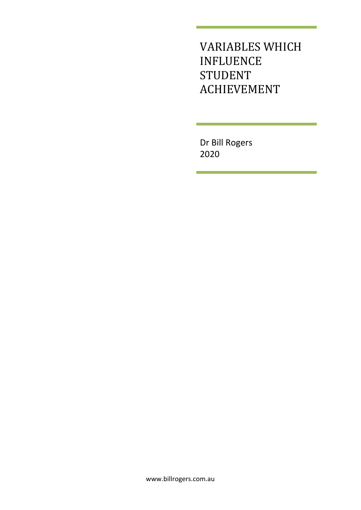VARIABLES WHICH INFLUENCE STUDENT ACHIEVEMENT

Dr Bill Rogers 2020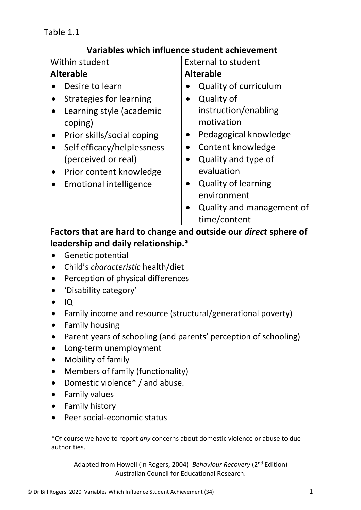Table 1.1

| Variables which influence student achievement                                                                                                                                                                                                                                                                                    |                                                                                                                                                                                                                                               |
|----------------------------------------------------------------------------------------------------------------------------------------------------------------------------------------------------------------------------------------------------------------------------------------------------------------------------------|-----------------------------------------------------------------------------------------------------------------------------------------------------------------------------------------------------------------------------------------------|
| Within student                                                                                                                                                                                                                                                                                                                   | <b>External to student</b>                                                                                                                                                                                                                    |
| <b>Alterable</b>                                                                                                                                                                                                                                                                                                                 | <b>Alterable</b>                                                                                                                                                                                                                              |
| Desire to learn<br><b>Strategies for learning</b><br>Learning style (academic<br>coping)<br>Prior skills/social coping<br>Self efficacy/helplessness<br>(perceived or real)<br>Prior content knowledge<br><b>Emotional intelligence</b>                                                                                          | <b>Quality of curriculum</b><br>Quality of<br>instruction/enabling<br>motivation<br>Pedagogical knowledge<br>Content knowledge<br>Quality and type of<br>evaluation<br><b>Quality of learning</b><br>environment<br>Quality and management of |
|                                                                                                                                                                                                                                                                                                                                  | time/content                                                                                                                                                                                                                                  |
| leadership and daily relationship.*<br>Genetic potential<br>Child's characteristic health/diet<br>Perception of physical differences<br>'Disability category'<br>IQ<br>Family income and resource (structural/generational poverty)<br><b>Family housing</b><br>Parent years of schooling (and parents' perception of schooling) |                                                                                                                                                                                                                                               |
| Long-term unemployment<br>Mobility of family<br>Members of family (functionality)<br>$\bullet$<br>Domestic violence <sup>*</sup> / and abuse.<br><b>Family values</b><br>$\bullet$<br><b>Family history</b><br>Peer social-economic status                                                                                       |                                                                                                                                                                                                                                               |
| *Of course we have to report any concerns about domestic violence or abuse to due<br>authorities.                                                                                                                                                                                                                                |                                                                                                                                                                                                                                               |
| Adapted from Howell (in Rogers, 2004) Behaviour Recovery (2 <sup>nd</sup> Edition)                                                                                                                                                                                                                                               |                                                                                                                                                                                                                                               |

Australian Council for Educational Research.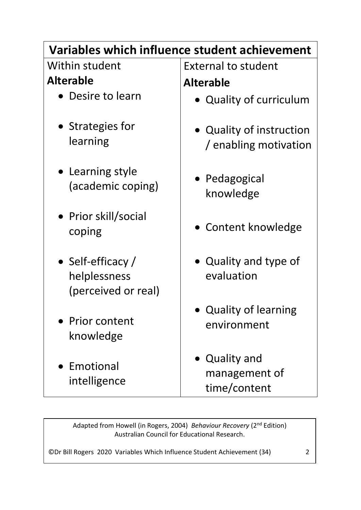## **Variables which influence student achievement**

Within student **Alterable**

- Desire to learn
- Strategies for learning
- Learning style (academic coping)
- Prior skill/social coping
- Self-efficacy / helplessness (perceived or real)
- Prior content knowledge
- Emotional intelligence

External to student **Alterable**

- Quality of curriculum
- Quality of instruction / enabling motivation
- Pedagogical knowledge
- Content knowledge
- Quality and type of evaluation
- Quality of learning environment
- Quality and management of time/content

Adapted from Howell (in Rogers, 2004) *Behaviour Recovery* (2nd Edition) Australian Council for Educational Research.

©Dr Bill Rogers 2020 Variables Which Influence Student Achievement (34) 2